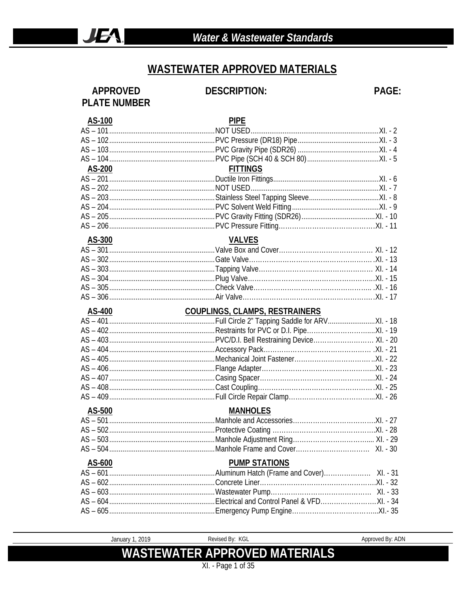#### **WASTEWATER APPROVED MATERIALS**

#### **APPROVED PLATE NUMBER**

#### **DESCRIPTION:**

PAGE:

Approved By: ADN

| AS-100        | <b>PIPE</b>                                                         |
|---------------|---------------------------------------------------------------------|
|               |                                                                     |
|               |                                                                     |
|               |                                                                     |
|               |                                                                     |
| <b>AS-200</b> | <b>FITTINGS</b>                                                     |
|               |                                                                     |
|               | AS – 202…………………………………………………NOT USED…………………………………………………………XI. - 7    |
|               |                                                                     |
|               |                                                                     |
|               |                                                                     |
|               |                                                                     |
| AS-300        | <b>VALVES</b>                                                       |
|               |                                                                     |
|               |                                                                     |
|               |                                                                     |
|               |                                                                     |
|               |                                                                     |
|               |                                                                     |
|               |                                                                     |
|               |                                                                     |
|               |                                                                     |
|               |                                                                     |
|               |                                                                     |
|               |                                                                     |
|               |                                                                     |
|               |                                                                     |
|               |                                                                     |
|               |                                                                     |
|               |                                                                     |
| AS-500        | <b>MANHOLES</b>                                                     |
|               |                                                                     |
|               |                                                                     |
|               |                                                                     |
| $AS - 504$    |                                                                     |
| AS-600        | <b>PUMP STATIONS</b>                                                |
|               |                                                                     |
|               |                                                                     |
|               | AS - 603………………………………………………Wastewater Pump…………………………………………… XI. - 33 |
|               |                                                                     |

January 1, 2019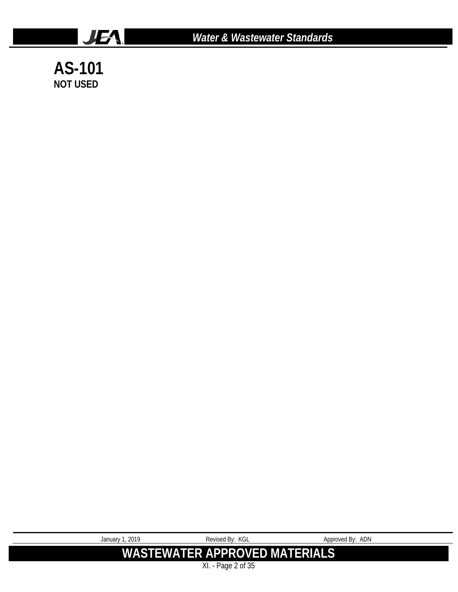

*Water & Wastewater Standards*

**AS-101 NOT USED**

| January 1, 2019                      | Revised By: KGL | Approved By: ADN |
|--------------------------------------|-----------------|------------------|
| <b>WASTEWATER APPROVED MATERIALS</b> |                 |                  |
| XI. - Page 2 of 35                   |                 |                  |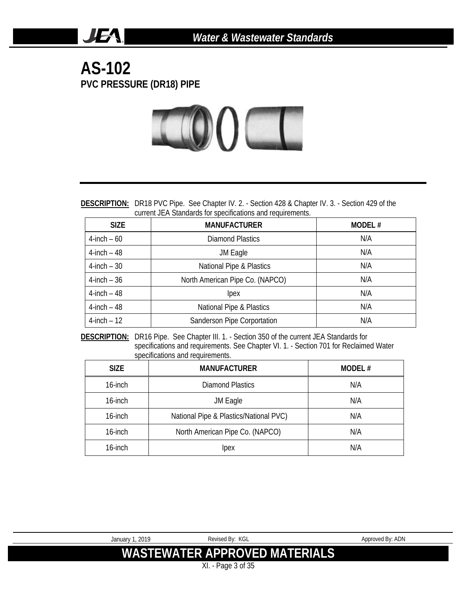#### **AS-102 PVC PRESSURE (DR18) PIPE**

**JEA** 



**DESCRIPTION:** DR18 PVC Pipe. See Chapter IV. 2. - Section 428 & Chapter IV. 3. - Section 429 of the current JEA Standards for specifications and requirements.

| <b>SIZE</b>     | <b>MANUFACTURER</b>             | MODEL# |
|-----------------|---------------------------------|--------|
| $4$ -inch $-60$ | <b>Diamond Plastics</b>         | N/A    |
| $4$ -inch $-48$ | JM Eagle                        | N/A    |
| $4$ -inch – 30  | National Pipe & Plastics        | N/A    |
| $4$ -inch $-36$ | North American Pipe Co. (NAPCO) | N/A    |
| $4$ -inch $-48$ | <i>lpex</i>                     | N/A    |
| $4$ -inch $-48$ | National Pipe & Plastics        | N/A    |
| $4$ -inch $-12$ | Sanderson Pipe Corportation     | N/A    |

**DESCRIPTION:** DR16 Pipe. See Chapter III. 1. - Section 350 of the current JEA Standards for specifications and requirements. See Chapter VI. 1. - Section 701 for Reclaimed Water specifications and requirements.

| <b>SIZE</b> | <b>MANUFACTURER</b>                    | MODEL# |
|-------------|----------------------------------------|--------|
| 16-inch     | Diamond Plastics                       | N/A    |
| 16-inch     | JM Eagle                               | N/A    |
| 16-inch     | National Pipe & Plastics/National PVC) | N/A    |
| 16-inch     | North American Pipe Co. (NAPCO)        | N/A    |
| 16-inch     | Ipex                                   | N/A    |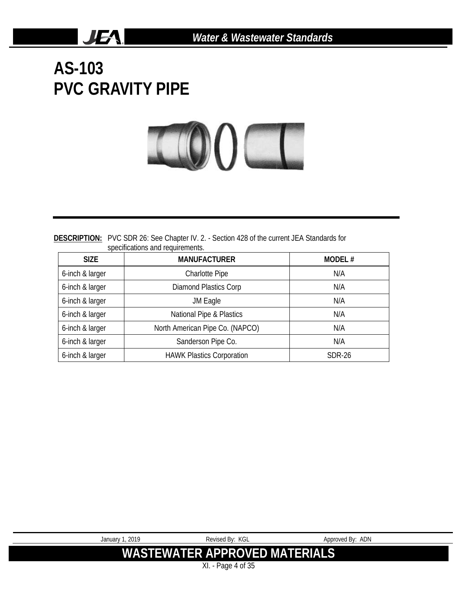**AS-103 PVC GRAVITY PIPE**

**JEA** 



**DESCRIPTION:** PVC SDR 26: See Chapter IV. 2. - Section 428 of the current JEA Standards for specifications and requirements.

| <b>SIZE</b>     | <b>MANUFACTURER</b>              | MODEL# |
|-----------------|----------------------------------|--------|
| 6-inch & larger | <b>Charlotte Pipe</b>            | N/A    |
| 6-inch & larger | <b>Diamond Plastics Corp</b>     | N/A    |
| 6-inch & larger | JM Eagle                         | N/A    |
| 6-inch & larger | National Pipe & Plastics         | N/A    |
| 6-inch & larger | North American Pipe Co. (NAPCO)  | N/A    |
| 6-inch & larger | Sanderson Pipe Co.               | N/A    |
| 6-inch & larger | <b>HAWK Plastics Corporation</b> | SDR-26 |

| January 1, 2019               | Revised Bv: KGL | Approved By: ADN |
|-------------------------------|-----------------|------------------|
| WASTEWATER APPROVED MATERIALS |                 |                  |
| XI - Page 4 of 35             |                 |                  |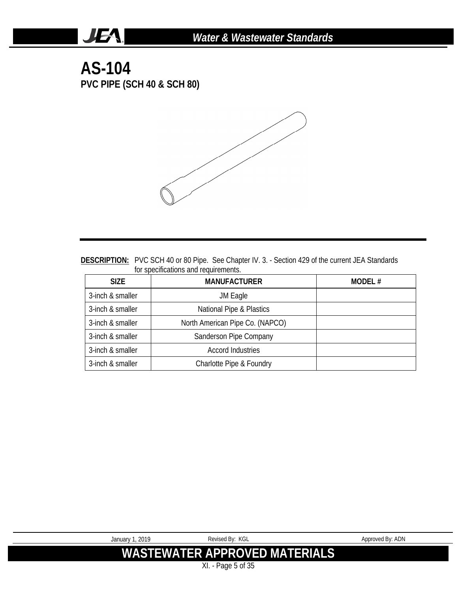#### **AS-104 PVC PIPE (SCH 40 & SCH 80)**

**JEA** 



#### **DESCRIPTION:** PVC SCH 40 or 80 Pipe. See Chapter IV. 3. - Section 429 of the current JEA Standards for specifications and requirements.

| SIZE.            | <b>MANUFACTURER</b>             | MODEL# |
|------------------|---------------------------------|--------|
| 3-inch & smaller | JM Eagle                        |        |
| 3-inch & smaller | National Pipe & Plastics        |        |
| 3-inch & smaller | North American Pipe Co. (NAPCO) |        |
| 3-inch & smaller | Sanderson Pipe Company          |        |
| 3-inch & smaller | Accord Industries               |        |
| 3-inch & smaller | Charlotte Pipe & Foundry        |        |

| January 1, 2019 | Revised By: KGL                      | Approved By: ADN |
|-----------------|--------------------------------------|------------------|
|                 | <b>WASTEWATER APPROVED MATERIALS</b> |                  |
|                 | $XI. - Page 5 of 35$                 |                  |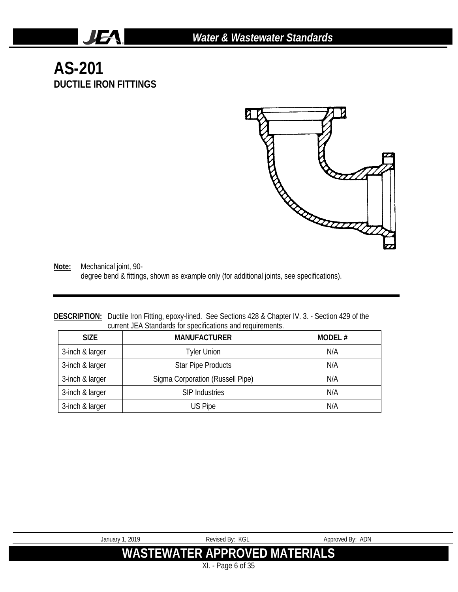### **AS-201 DUCTILE IRON FITTINGS**

JEA.



**Note:** Mechanical joint, 90 degree bend & fittings, shown as example only (for additional joints, see specifications).

#### **DESCRIPTION:** Ductile Iron Fitting, epoxy-lined. See Sections 428 & Chapter IV. 3. - Section 429 of the current JEA Standards for specifications and requirements.

| <b>SIZE</b>     | <b>MANUFACTURER</b>              | <b>MODEL#</b> |
|-----------------|----------------------------------|---------------|
| 3-inch & larger | Tyler Union                      | N/A           |
| 3-inch & larger | <b>Star Pipe Products</b>        | N/A           |
| 3-inch & larger | Sigma Corporation (Russell Pipe) | N/A           |
| 3-inch & larger | <b>SIP Industries</b>            | N/A           |
| 3-inch & larger | US Pipe                          | N/A           |

| January 1, 2019               | Revised Bv: KGL | Approved By: ADN |
|-------------------------------|-----------------|------------------|
| WASTEWATER APPROVED MATERIALS |                 |                  |
| XI. - Page 6 of 35            |                 |                  |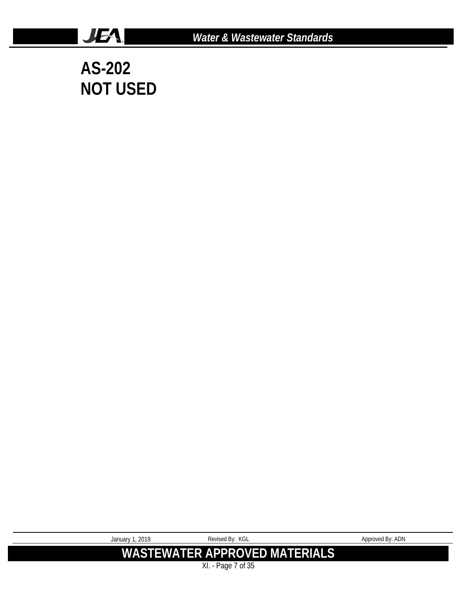

**AS-202 NOT USED**

**JEA** 

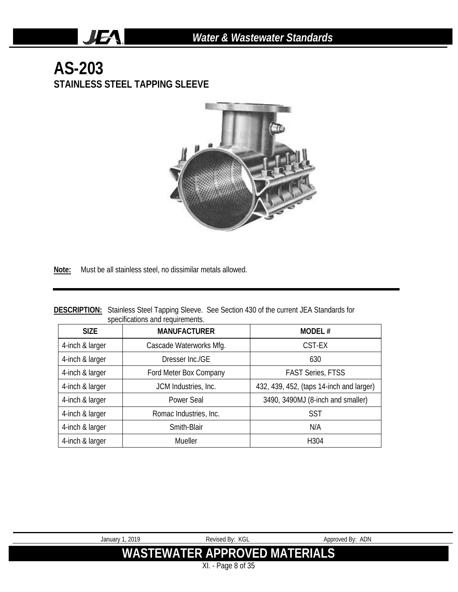#### **AS-203 STAINLESS STEEL TAPPING SLEEVE**

JEA.



**Note:** Must be all stainless steel, no dissimilar metals allowed.

|                                  | <b>DESCRIPTION:</b> Stainless Steel Tapping Sleeve. See Section 430 of the current JEA Standards for |
|----------------------------------|------------------------------------------------------------------------------------------------------|
| specifications and requirements. |                                                                                                      |

| <b>SIZE</b>     | <b>MANUFACTURER</b>     | MODEL#                                   |
|-----------------|-------------------------|------------------------------------------|
| 4-inch & larger | Cascade Waterworks Mfg. | CST-EX                                   |
| 4-inch & larger | Dresser Inc./GE         | 630                                      |
| 4-inch & larger | Ford Meter Box Company  | <b>FAST Series, FTSS</b>                 |
| 4-inch & larger | JCM Industries, Inc.    | 432, 439, 452, (taps 14-inch and larger) |
| 4-inch & larger | Power Seal              | 3490, 3490MJ (8-inch and smaller)        |
| 4-inch & larger | Romac Industries, Inc.  | <b>SST</b>                               |
| 4-inch & larger | Smith-Blair             | N/A                                      |
| 4-inch & larger | Mueller                 | H304                                     |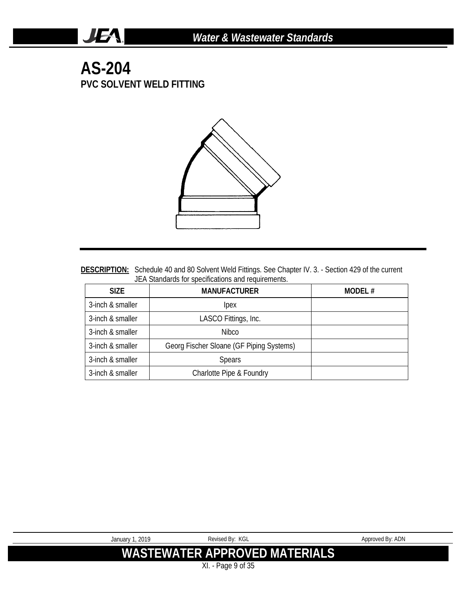#### **AS-204 PVC SOLVENT WELD FITTING**

**JEA** 



DESCRIPTION: Schedule 40 and 80 Solvent Weld Fittings. See Chapter IV. 3. - Section 429 of the current JEA Standards for specifications and requirements.

| <b>SIZE</b>      | <b>MANUFACTURER</b>                      | MODEL# |
|------------------|------------------------------------------|--------|
| 3-inch & smaller | lpex                                     |        |
| 3-inch & smaller | LASCO Fittings, Inc.                     |        |
| 3-inch & smaller | Nibco                                    |        |
| 3-inch & smaller | Georg Fischer Sloane (GF Piping Systems) |        |
| 3-inch & smaller | <b>Spears</b>                            |        |
| 3-inch & smaller | Charlotte Pipe & Foundry                 |        |

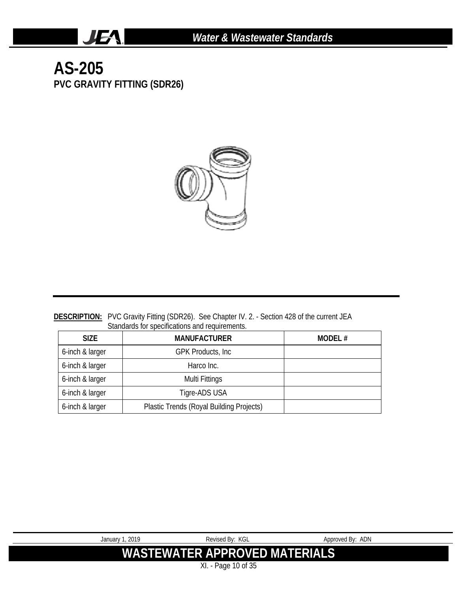### **AS-205 PVC GRAVITY FITTING (SDR26)**

**JEA** 



#### **DESCRIPTION:** PVC Gravity Fitting (SDR26). See Chapter IV. 2. - Section 428 of the current JEA Standards for specifications and requirements.

| <b>SIZE</b>     | <b>MANUFACTURER</b>                      | MODEL# |
|-----------------|------------------------------------------|--------|
| 6-inch & larger | <b>GPK Products, Inc.</b>                |        |
| 6-inch & larger | Harco Inc.                               |        |
| 6-inch & larger | Multi Fittings                           |        |
| 6-inch & larger | Tigre-ADS USA                            |        |
| 6-inch & larger | Plastic Trends (Royal Building Projects) |        |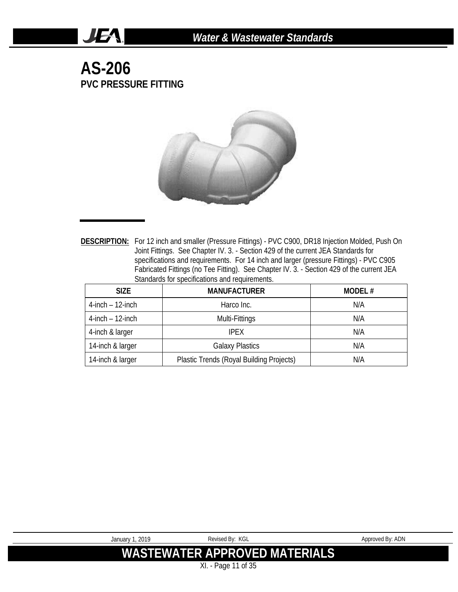**AS-206 PVC PRESSURE FITTING**

**JEA** 



**DESCRIPTION:** For 12 inch and smaller (Pressure Fittings) - PVC C900, DR18 Injection Molded, Push On Joint Fittings. See Chapter IV. 3. - Section 429 of the current JEA Standards for specifications and requirements. For 14 inch and larger (pressure Fittings) - PVC C905 Fabricated Fittings (no Tee Fitting). See Chapter IV. 3. - Section 429 of the current JEA Standards for specifications and requirements.

| <b>SIZE</b>           | <b>MANUFACTURER</b>                      | MODEL# |
|-----------------------|------------------------------------------|--------|
| $4$ -inch $-12$ -inch | Harco Inc.                               | N/A    |
| $4$ -inch $-12$ -inch | Multi-Fittings                           | N/A    |
| 4-inch & larger       | <b>IPFX</b>                              | N/A    |
| 14-inch & larger      | <b>Galaxy Plastics</b>                   | N/A    |
| 14-inch & larger      | Plastic Trends (Royal Building Projects) | N/A    |

| January 1, 2019 | Revised By: KGL               | Approved By: ADN |
|-----------------|-------------------------------|------------------|
|                 | WASTEWATER APPROVED MATERIALS |                  |
|                 | XI. - Page 11 of 35           |                  |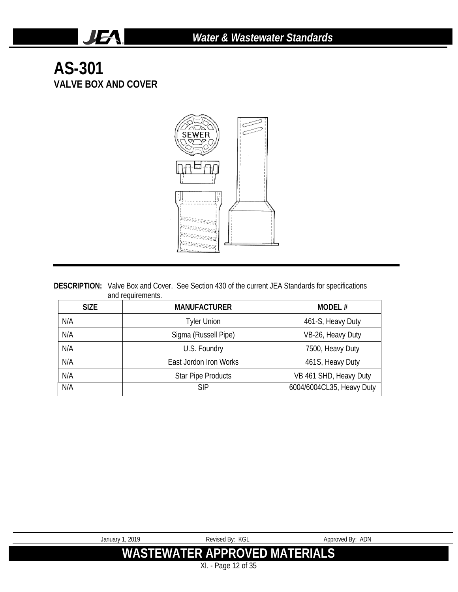#### **AS-301 VALVE BOX AND COVER**

**JEA** 



|                   | <b>DESCRIPTION:</b> Valve Box and Cover. See Section 430 of the current JEA Standards for specifications |
|-------------------|----------------------------------------------------------------------------------------------------------|
| and requirements. |                                                                                                          |

| <b>SIZE</b> | <b>MANUFACTURER</b>       | MODEL#                    |
|-------------|---------------------------|---------------------------|
| N/A         | <b>Tyler Union</b>        | 461-S, Heavy Duty         |
| N/A         | Sigma (Russell Pipe)      | VB-26, Heavy Duty         |
| N/A         | U.S. Foundry              | 7500, Heavy Duty          |
| N/A         | East Jordon Iron Works    | 461S, Heavy Duty          |
| N/A         | <b>Star Pipe Products</b> | VB 461 SHD, Heavy Duty    |
| N/A         | <b>SIP</b>                | 6004/6004CL35, Heavy Duty |

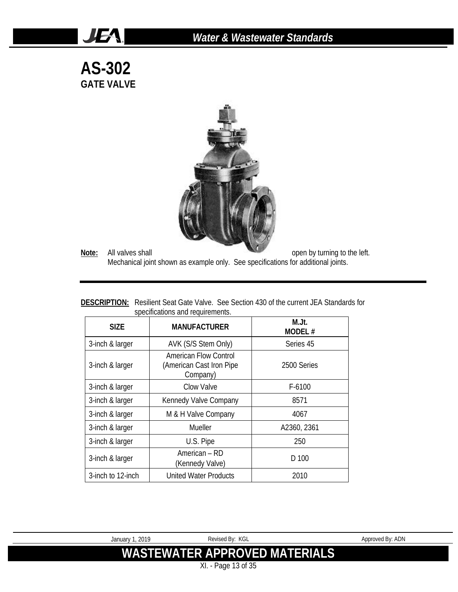#### *Water & Wastewater Standards*

**AS-302 GATE VALVE**

JEA.



**Note:** All valves shall **Note:** All valves shall **open** by turning to the left. Mechanical joint shown as example only. See specifications for additional joints.

|                                  | <b>DESCRIPTION:</b> Resilient Seat Gate Valve. See Section 430 of the current JEA Standards for |
|----------------------------------|-------------------------------------------------------------------------------------------------|
| specifications and requirements. |                                                                                                 |

| <b>SIZE</b>       | <b>MANUFACTURER</b>                                           | M.Jt.<br>MODEL# |
|-------------------|---------------------------------------------------------------|-----------------|
| 3-inch & larger   | AVK (S/S Stem Only)                                           | Series 45       |
| 3-inch & larger   | American Flow Control<br>(American Cast Iron Pipe<br>Company) | 2500 Series     |
| 3-inch & larger   | Clow Valve                                                    | $F-6100$        |
| 3-inch & larger   | Kennedy Valve Company                                         | 8571            |
| 3-inch & larger   | M & H Valve Company                                           | 4067            |
| 3-inch & larger   | Mueller                                                       | A2360, 2361     |
| 3-inch & larger   | U.S. Pipe                                                     | 250             |
| 3-inch & larger   | American – RD<br>(Kennedy Valve)                              | D 100           |
| 3-inch to 12-inch | <b>United Water Products</b>                                  | 2010            |

XI. - Page 13 of 35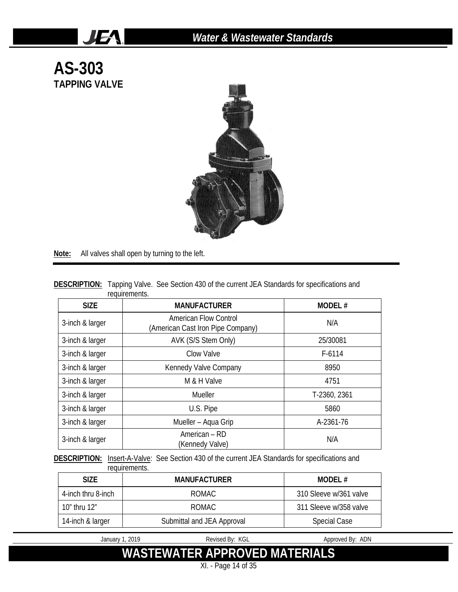

**Note:** All valves shall open by turning to the left.

JEA.

| <b>DESCRIPTION:</b> Tapping Valve. See Section 430 of the current JEA Standards for specifications and |               |  |  |  |
|--------------------------------------------------------------------------------------------------------|---------------|--|--|--|
|                                                                                                        | requirements. |  |  |  |

| <b>SIZE</b>     | <b>MANUFACTURER</b>                                               | MODEL#       |
|-----------------|-------------------------------------------------------------------|--------------|
| 3-inch & larger | <b>American Flow Control</b><br>(American Cast Iron Pipe Company) | N/A          |
| 3-inch & larger | AVK (S/S Stem Only)                                               | 25/30081     |
| 3-inch & larger | Clow Valve                                                        | $F-6114$     |
| 3-inch & larger | Kennedy Valve Company                                             | 8950         |
| 3-inch & larger | M & H Valve                                                       | 4751         |
| 3-inch & larger | Mueller                                                           | T-2360, 2361 |
| 3-inch & larger | U.S. Pipe                                                         | 5860         |
| 3-inch & larger | Mueller - Aqua Grip                                               | A-2361-76    |
| 3-inch & larger | American - RD<br>(Kennedy Valve)                                  | N/A          |

DESCRIPTION: Insert-A-Valve: See Section 430 of the current JEA Standards for specifications and requirements.

| <b>SIZE</b>        | <b>MANUFACTURER</b>        | MODEL $#$              |
|--------------------|----------------------------|------------------------|
| 4-inch thru 8-inch | ROMAC                      | 310 Sleeve w/361 valve |
| 10" thru 12"       | ROMAC.                     | 311 Sleeve w/358 valve |
| 14-inch & larger   | Submittal and JEA Approval | <b>Special Case</b>    |

January 1, 2019 **Revised By: KGL** Approved By: ADN

**WASTEWATER APPROVED MATERIALS**

XI. - Page 14 of 35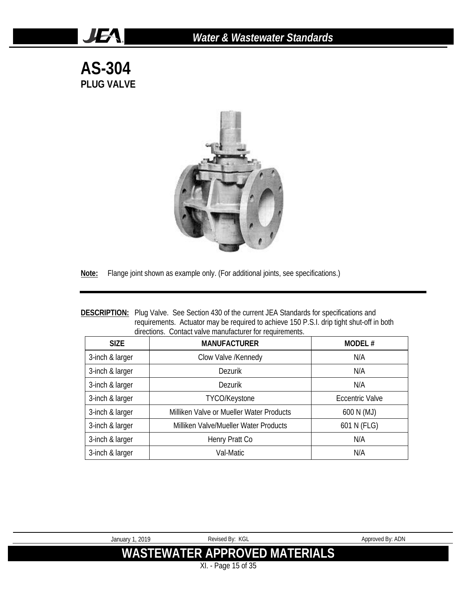#### *Water & Wastewater Standards*

**AS-304 PLUG VALVE**

JEA.



**Note:** Flange joint shown as example only. (For additional joints, see specifications.)

| <b>DESCRIPTION:</b> Plug Valve. See Section 430 of the current JEA Standards for specifications and |
|-----------------------------------------------------------------------------------------------------|
| requirements. Actuator may be required to achieve 150 P.S.I. drip tight shut-off in both            |
| directions. Contact valve manufacturer for requirements.                                            |

| <b>SIZE</b>     | <b>MANUFACTURER</b>                      | <b>MODEL#</b>          |
|-----------------|------------------------------------------|------------------------|
| 3-inch & larger | Clow Valve /Kennedy                      | N/A                    |
| 3-inch & larger | <b>Dezurik</b>                           | N/A                    |
| 3-inch & larger | <b>Dezurik</b>                           | N/A                    |
| 3-inch & larger | TYCO/Keystone                            | <b>Eccentric Valve</b> |
| 3-inch & larger | Milliken Valve or Mueller Water Products | 600 N (MJ)             |
| 3-inch & larger | Milliken Valve/Mueller Water Products    | 601 N (FLG)            |
| 3-inch & larger | Henry Pratt Co                           | N/A                    |
| 3-inch & larger | Val-Matic                                | N/A                    |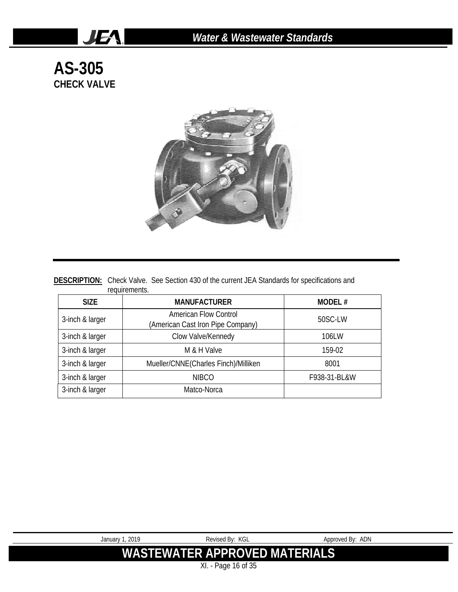### **AS-305 CHECK VALVE**

**JEA** 



|               | <b>DESCRIPTION:</b> Check Valve. See Section 430 of the current JEA Standards for specifications and |  |
|---------------|------------------------------------------------------------------------------------------------------|--|
| requirements. |                                                                                                      |  |

| <b>SIZE</b>                           | <b>MANUFACTURER</b>                                        | MODEL#       |
|---------------------------------------|------------------------------------------------------------|--------------|
| 3-inch & larger                       | American Flow Control<br>(American Cast Iron Pipe Company) | 50SC-LW      |
| Clow Valve/Kennedy<br>3-inch & larger |                                                            | 106LW        |
| 3-inch & larger<br>M & H Valve        |                                                            | 159-02       |
| 3-inch & larger                       | Mueller/CNNE(Charles Finch)/Milliken                       | 8001         |
| 3-inch & larger                       | <b>NIBCO</b>                                               | F938-31-BL&W |
| 3-inch & larger                       | Matco-Norca                                                |              |

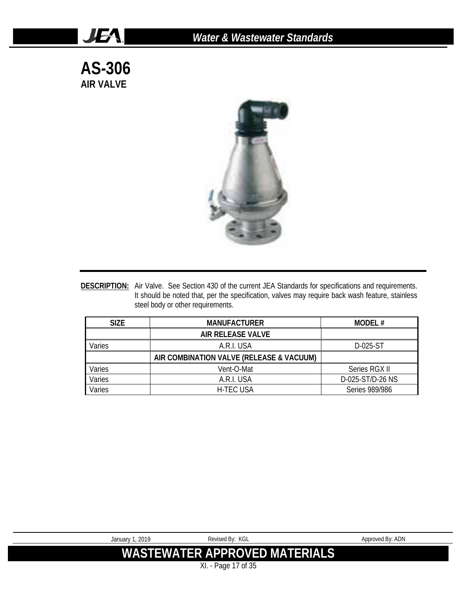**AS-306 AIR VALVE**

JEA.



**DESCRIPTION:** Air Valve. See Section 430 of the current JEA Standards for specifications and requirements. It should be noted that, per the specification, valves may require back wash feature, stainless steel body or other requirements.

| <b>SIZE</b> | <b>MANUFACTURER</b>                      | <b>MODEL#</b>    |
|-------------|------------------------------------------|------------------|
|             | <b>AIR RELEASE VALVE</b>                 |                  |
| Varies      | A.R.I. USA                               | D-025-ST         |
|             | AIR COMBINATION VALVE (RELEASE & VACUUM) |                  |
| Varies      | Vent-O-Mat                               | Series RGX II    |
| Varies      | A.R.I. USA                               | D-025-ST/D-26 NS |
| Varies      | <b>H-TEC USA</b>                         | Series 989/986   |

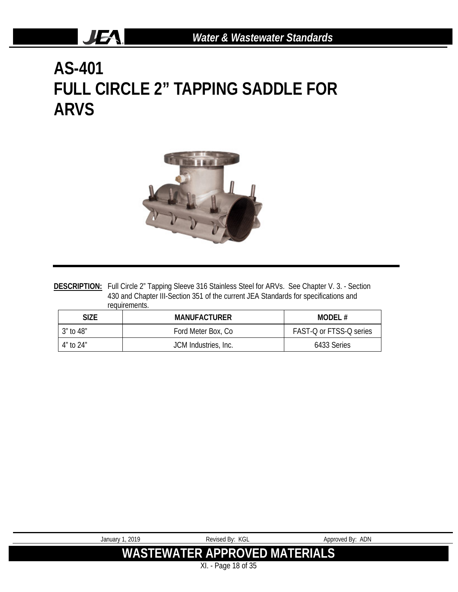# **AS-401 FULL CIRCLE 2" TAPPING SADDLE FOR ARVS**

JEA.



DESCRIPTION: Full Circle 2" Tapping Sleeve 316 Stainless Steel for ARVs. See Chapter V. 3. - Section 430 and Chapter III-Section 351 of the current JEA Standards for specifications and requirements.

| <b>SIZE</b> | <b>MANUFACTURER</b>  | MODEL#                  |
|-------------|----------------------|-------------------------|
| 3″ to 48″   | Ford Meter Box, Co.  | FAST-Q or FTSS-Q series |
| 4″ t∩ 24″   | JCM Industries, Inc. | 6433 Series             |

| Revised By: KGL               | Approved By: ADN |  |  |  |
|-------------------------------|------------------|--|--|--|
|                               |                  |  |  |  |
| WASTEWATER APPROVED MATERIALS |                  |  |  |  |
|                               |                  |  |  |  |
| XI. - Page 18 of 35           |                  |  |  |  |
|                               |                  |  |  |  |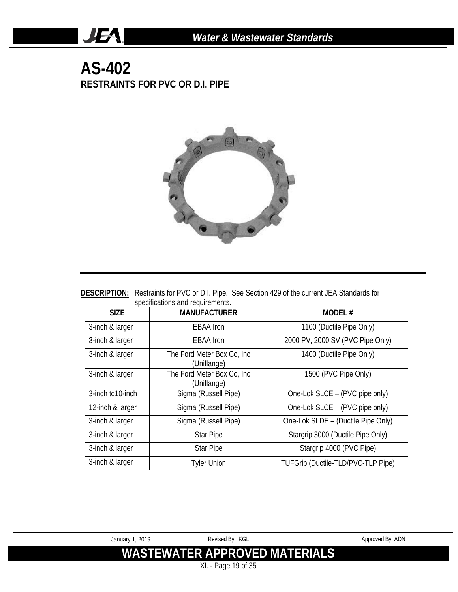#### **AS-402 RESTRAINTS FOR PVC OR D.I. PIPE**

**JEA** 



| <b>DESCRIPTION:</b> Restraints for PVC or D.I. Pipe. See Section 429 of the current JEA Standards for |  |  |
|-------------------------------------------------------------------------------------------------------|--|--|
| specifications and requirements.                                                                      |  |  |

| <b>SIZE</b>       | <b>MANUFACTURER</b>                        | <b>MODEL#</b>                      |
|-------------------|--------------------------------------------|------------------------------------|
| 3-inch & larger   | <b>EBAA</b> Iron                           | 1100 (Ductile Pipe Only)           |
| 3-inch & larger   | <b>EBAA</b> Iron                           | 2000 PV, 2000 SV (PVC Pipe Only)   |
| 3-inch & larger   | The Ford Meter Box Co, Inc.<br>(Uniflange) | 1400 (Ductile Pipe Only)           |
| 3-inch & larger   | The Ford Meter Box Co, Inc.<br>(Uniflange) | 1500 (PVC Pipe Only)               |
| 3-inch to 10-inch | Sigma (Russell Pipe)                       | One-Lok SLCE - (PVC pipe only)     |
| 12-inch & larger  | Sigma (Russell Pipe)                       | One-Lok SLCE - (PVC pipe only)     |
| 3-inch & larger   | Sigma (Russell Pipe)                       | One-Lok SLDE - (Ductile Pipe Only) |
| 3-inch & larger   | <b>Star Pipe</b>                           | Stargrip 3000 (Ductile Pipe Only)  |
| 3-inch & larger   | <b>Star Pipe</b>                           | Stargrip 4000 (PVC Pipe)           |
| 3-inch & larger   | <b>Tyler Union</b>                         | TUFGrip (Ductile-TLD/PVC-TLP Pipe) |

| January 1, 2019 | Revised By: KGL                      | Approved By: ADN |
|-----------------|--------------------------------------|------------------|
|                 | <b>WASTEWATER APPROVED MATERIALS</b> |                  |
|                 | XI. - Page 19 of 35                  |                  |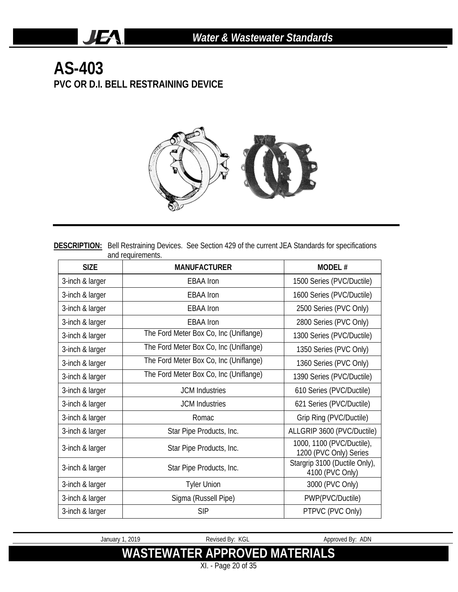#### **AS-403 PVC OR D.I. BELL RESTRAINING DEVICE**

**JEA** 



**DESCRIPTION:** Bell Restraining Devices. See Section 429 of the current JEA Standards for specifications and requirements.

| <b>SIZE</b>     | <b>MANUFACTURER</b>                    | <b>MODEL#</b>                                       |
|-----------------|----------------------------------------|-----------------------------------------------------|
| 3-inch & larger | <b>EBAA</b> Iron                       | 1500 Series (PVC/Ductile)                           |
| 3-inch & larger | <b>EBAA Iron</b>                       | 1600 Series (PVC/Ductile)                           |
| 3-inch & larger | <b>EBAA</b> Iron                       | 2500 Series (PVC Only)                              |
| 3-inch & larger | <b>EBAA</b> Iron                       | 2800 Series (PVC Only)                              |
| 3-inch & larger | The Ford Meter Box Co, Inc (Uniflange) | 1300 Series (PVC/Ductile)                           |
| 3-inch & larger | The Ford Meter Box Co, Inc (Uniflange) | 1350 Series (PVC Only)                              |
| 3-inch & larger | The Ford Meter Box Co, Inc (Uniflange) | 1360 Series (PVC Only)                              |
| 3-inch & larger | The Ford Meter Box Co, Inc (Uniflange) | 1390 Series (PVC/Ductile)                           |
| 3-inch & larger | <b>JCM</b> Industries                  | 610 Series (PVC/Ductile)                            |
| 3-inch & larger | <b>JCM</b> Industries                  | 621 Series (PVC/Ductile)                            |
| 3-inch & larger | Romac                                  | Grip Ring (PVC/Ductile)                             |
| 3-inch & larger | Star Pipe Products, Inc.               | ALLGRIP 3600 (PVC/Ductile)                          |
| 3-inch & larger | Star Pipe Products, Inc.               | 1000, 1100 (PVC/Ductile),<br>1200 (PVC Only) Series |
| 3-inch & larger | Star Pipe Products, Inc.               | Stargrip 3100 (Ductile Only),<br>4100 (PVC Only)    |
| 3-inch & larger | <b>Tyler Union</b>                     | 3000 (PVC Only)                                     |
| 3-inch & larger | Sigma (Russell Pipe)                   | PWP(PVC/Ductile)                                    |
| 3-inch & larger | <b>SIP</b>                             | PTPVC (PVC Only)                                    |

January 1, 2019 **Revised By: KGL** Approved By: ADN **WASTEWATER APPROVED MATERIALS**

XI. - Page 20 of 35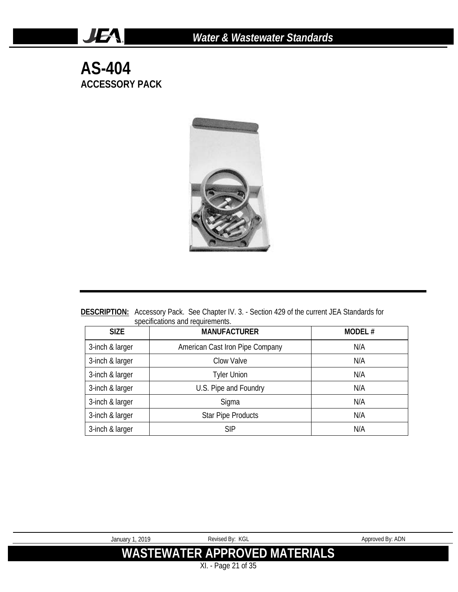**AS-404 ACCESSORY PACK**

**JEA** 



**DESCRIPTION:** Accessory Pack. See Chapter IV. 3. - Section 429 of the current JEA Standards for specifications and requirements.

| <b>SIZE</b>     | <b>MANUFACTURER</b>             | <b>MODEL#</b> |
|-----------------|---------------------------------|---------------|
| 3-inch & larger | American Cast Iron Pipe Company | N/A           |
| 3-inch & larger | Clow Valve                      | N/A           |
| 3-inch & larger | <b>Tyler Union</b>              | N/A           |
| 3-inch & larger | U.S. Pipe and Foundry           | N/A           |
| 3-inch & larger | Sigma                           | N/A           |
| 3-inch & larger | <b>Star Pipe Products</b>       | N/A           |
| 3-inch & larger | <b>SIP</b>                      | N/A           |

| January 1, 2019 | Revised By: KGL                      | Approved By: ADN |
|-----------------|--------------------------------------|------------------|
|                 |                                      |                  |
|                 | <b>WASTEWATER APPROVED MATERIALS</b> |                  |
|                 |                                      |                  |
|                 | XI. - Page 21 of 35                  |                  |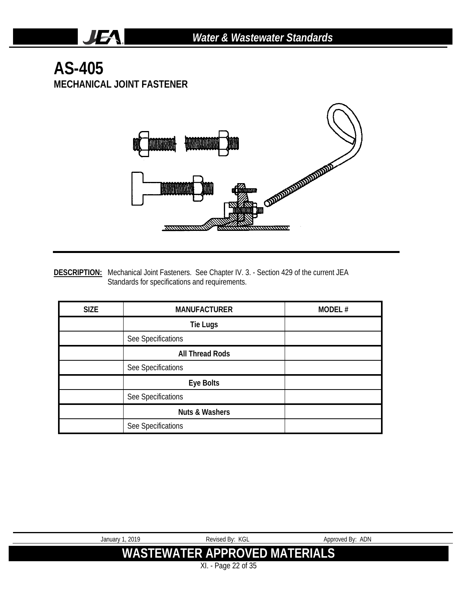#### **AS-405 MECHANICAL JOINT FASTENER**

**JEA** 



**DESCRIPTION:** Mechanical Joint Fasteners. See Chapter IV. 3. - Section 429 of the current JEA Standards for specifications and requirements.

| <b>SIZE</b> | <b>MANUFACTURER</b>       | MODEL# |
|-------------|---------------------------|--------|
|             | <b>Tie Lugs</b>           |        |
|             | See Specifications        |        |
|             | <b>All Thread Rods</b>    |        |
|             | See Specifications        |        |
|             | Eye Bolts                 |        |
|             | See Specifications        |        |
|             | <b>Nuts &amp; Washers</b> |        |
|             | See Specifications        |        |

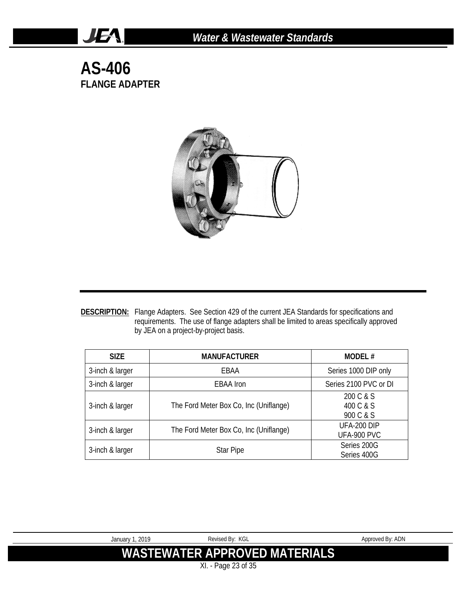**AS-406 FLANGE ADAPTER**

JEA.



**DESCRIPTION:** Flange Adapters. See Section 429 of the current JEA Standards for specifications and requirements. The use of flange adapters shall be limited to areas specifically approved by JEA on a project-by-project basis.

| <b>SIZE</b>     | <b>MANUFACTURER</b>                    | <b>MODEL#</b>                       |
|-----------------|----------------------------------------|-------------------------------------|
| 3-inch & larger | EBAA                                   | Series 1000 DIP only                |
| 3-inch & larger | <b>EBAA</b> Iron                       | Series 2100 PVC or DI               |
| 3-inch & larger | The Ford Meter Box Co, Inc (Uniflange) | 200 C & S<br>400 C & S<br>900 C & S |
| 3-inch & larger | The Ford Meter Box Co, Inc (Uniflange) | UFA-200 DIP<br>UFA-900 PVC          |
| 3-inch & larger | <b>Star Pipe</b>                       | Series 200G<br>Series 400G          |

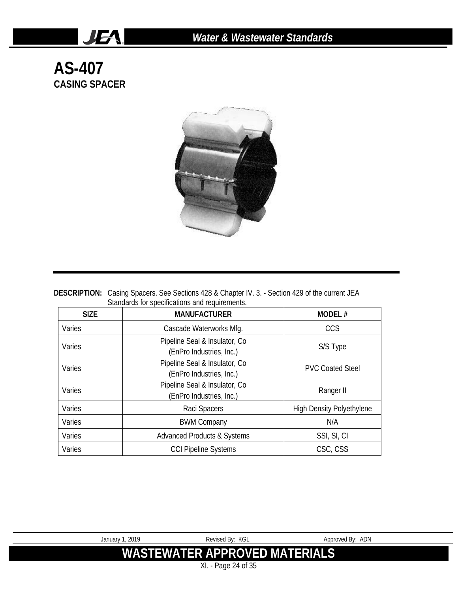### **AS-407 CASING SPACER**

JEA.



| <b>DESCRIPTION:</b> Casing Spacers. See Sections 428 & Chapter IV. 3. - Section 429 of the current JEA |
|--------------------------------------------------------------------------------------------------------|
| Standards for specifications and requirements.                                                         |
|                                                                                                        |

| <b>SIZE</b> | <b>MANUFACTURER</b>                                        | <b>MODEL#</b>                    |
|-------------|------------------------------------------------------------|----------------------------------|
| Varies      | Cascade Waterworks Mfg.                                    | <b>CCS</b>                       |
| Varies      | Pipeline Seal & Insulator, Co.<br>(EnPro Industries, Inc.) | S/S Type                         |
| Varies      | Pipeline Seal & Insulator, Co.<br>(EnPro Industries, Inc.) | <b>PVC Coated Steel</b>          |
| Varies      | Pipeline Seal & Insulator, Co.<br>(EnPro Industries, Inc.) | Ranger II                        |
| Varies      | Raci Spacers                                               | <b>High Density Polyethylene</b> |
| Varies      | <b>BWM Company</b>                                         | N/A                              |
| Varies      | <b>Advanced Products &amp; Systems</b>                     | SSI, SI, CI                      |
| Varies      | <b>CCI Pipeline Systems</b>                                | CSC, CSS                         |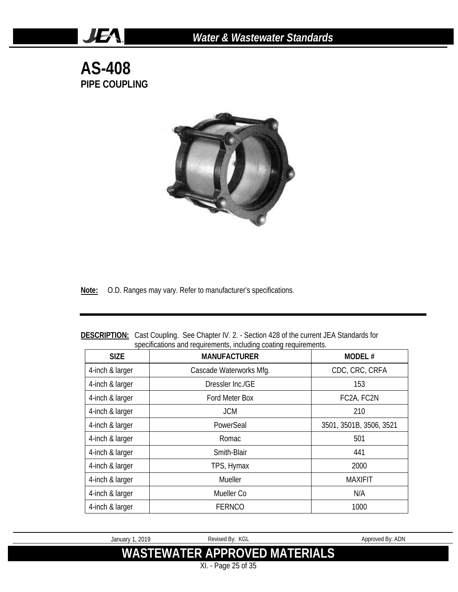**AS-408 PIPE COUPLING**

JEA.



**Note:** O.D. Ranges may vary. Refer to manufacturer's specifications.

| <b>SIZE</b>     | <b>MANUFACTURER</b>     | <b>MODEL#</b>           |
|-----------------|-------------------------|-------------------------|
| 4-inch & larger | Cascade Waterworks Mfg. | CDC, CRC, CRFA          |
| 4-inch & larger | Dressler Inc./GE        | 153                     |
| 4-inch & larger | Ford Meter Box          | FC2A, FC2N              |
| 4-inch & larger | <b>JCM</b>              | 210                     |
| 4-inch & larger | PowerSeal               | 3501, 3501B, 3506, 3521 |
| 4-inch & larger | Romac                   | 501                     |
| 4-inch & larger | Smith-Blair             | 441                     |
| 4-inch & larger | TPS, Hymax              | 2000                    |
| 4-inch & larger | Mueller                 | <b>MAXIFIT</b>          |
| 4-inch & larger | Mueller Co              | N/A                     |
| 4-inch & larger | <b>FERNCO</b>           | 1000                    |

**DESCRIPTION:** Cast Coupling. See Chapter IV. 2. - Section 428 of the current JEA Standards for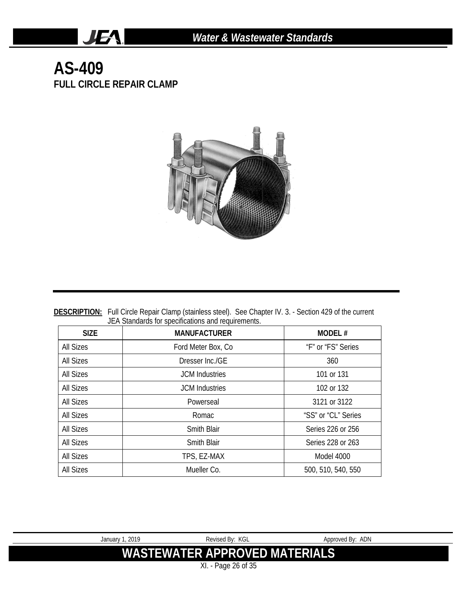#### **AS-409 FULL CIRCLE REPAIR CLAMP**

**JEA** 



**DESCRIPTION:** Full Circle Repair Clamp (stainless steel). See Chapter IV. 3. - Section 429 of the current JEA Standards for specifications and requirements.

| <b>SIZE</b>      | <b>MANUFACTURER</b>   | <b>MODEL#</b>       |
|------------------|-----------------------|---------------------|
| All Sizes        | Ford Meter Box, Co.   | "F" or "FS" Series  |
| All Sizes        | Dresser Inc./GF       | 360                 |
| All Sizes        | <b>JCM</b> Industries | 101 or 131          |
| All Sizes        | <b>JCM</b> Industries | 102 or 132          |
| All Sizes        | Powerseal             | 3121 or 3122        |
| All Sizes        | Romac                 | "SS" or "CL" Series |
| All Sizes        | <b>Smith Blair</b>    | Series 226 or 256   |
| All Sizes        | <b>Smith Blair</b>    | Series 228 or 263   |
| All Sizes        | TPS, EZ-MAX           | Model 4000          |
| <b>All Sizes</b> | Mueller Co.           | 500, 510, 540, 550  |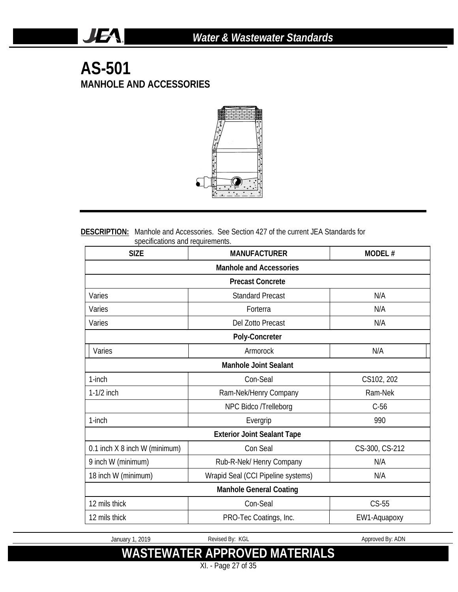#### **AS-501 MANHOLE AND ACCESSORIES**

JEA.



#### **DESCRIPTION:** Manhole and Accessories. See Section 427 of the current JEA Standards for specifications and requirements.

| <b>SIZE</b><br><b>MANUFACTURER</b> |                                    | MODEL#         |  |  |
|------------------------------------|------------------------------------|----------------|--|--|
| <b>Manhole and Accessories</b>     |                                    |                |  |  |
|                                    | <b>Precast Concrete</b>            |                |  |  |
| Varies                             | <b>Standard Precast</b>            | N/A            |  |  |
| Varies                             | Forterra                           | N/A            |  |  |
| Varies                             | Del Zotto Precast                  | N/A            |  |  |
|                                    | Poly-Concreter                     |                |  |  |
| Varies                             | Armorock                           | N/A            |  |  |
|                                    | <b>Manhole Joint Sealant</b>       |                |  |  |
| 1-inch                             | Con-Seal                           | CS102, 202     |  |  |
| $1-1/2$ inch                       | Ram-Nek/Henry Company              | Ram-Nek        |  |  |
|                                    | NPC Bidco /Trelleborg              | $C-56$         |  |  |
| $1$ -inch                          | Evergrip                           | 990            |  |  |
|                                    | <b>Exterior Joint Sealant Tape</b> |                |  |  |
| 0.1 inch X 8 inch W (minimum)      | Con Seal                           | CS-300, CS-212 |  |  |
| 9 inch W (minimum)                 | Rub-R-Nek/ Henry Company           | N/A            |  |  |
| 18 inch W (minimum)                | Wrapid Seal (CCI Pipeline systems) | N/A            |  |  |
|                                    | <b>Manhole General Coating</b>     |                |  |  |
| 12 mils thick                      | Con-Seal                           | $CS-55$        |  |  |
| 12 mils thick                      | PRO-Tec Coatings, Inc.             | EW1-Aquapoxy   |  |  |

January 1, 2019 Revised By: KGL Approved By: ADN

## **WASTEWATER APPROVED MATERIALS**

XI. - Page 27 of 35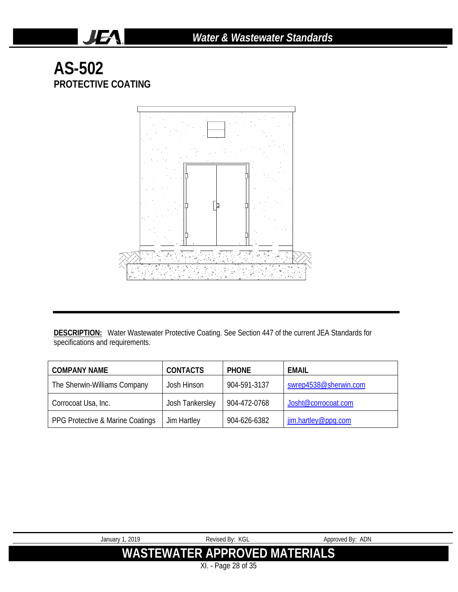### **AS-502 PROTECTIVE COATING**

JEA.



DESCRIPTION: Water Wastewater Protective Coating. See Section 447 of the current JEA Standards for specifications and requirements.

| <b>COMPANY NAME</b>              | <b>CONTACTS</b> | <b>PHONE</b> | EMAIL                 |
|----------------------------------|-----------------|--------------|-----------------------|
| The Sherwin-Williams Company     | Josh Hinson     | 904-591-3137 | swrep4538@sherwin.com |
| Corrocoat Usa, Inc.              | Josh Tankersley | 904-472-0768 | Josht@corrocoat.com   |
| PPG Protective & Marine Coatings | Jim Hartley     | 904-626-6382 | jim.hartley@ppq.com   |

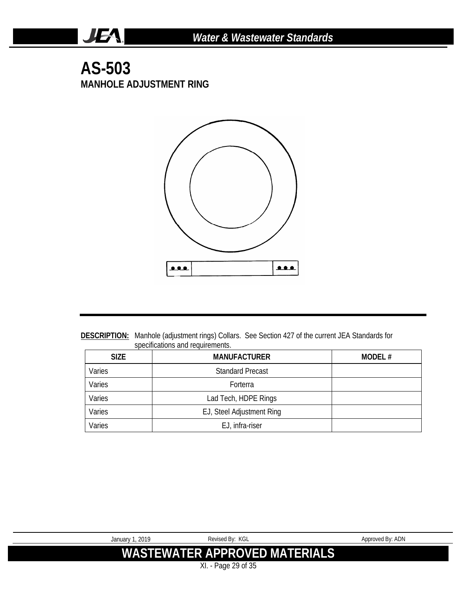#### **AS-503 MANHOLE ADJUSTMENT RING**

JEA.



**DESCRIPTION:** Manhole (adjustment rings) Collars. See Section 427 of the current JEA Standards for specifications and requirements.

| <b>SIZE</b> | <b>MANUFACTURER</b>       | MODEL $#$ |
|-------------|---------------------------|-----------|
| Varies      | <b>Standard Precast</b>   |           |
| Varies      | Forterra                  |           |
| Varies      | Lad Tech, HDPE Rings      |           |
| Varies      | EJ, Steel Adjustment Ring |           |
| Varies      | EJ, infra-riser           |           |

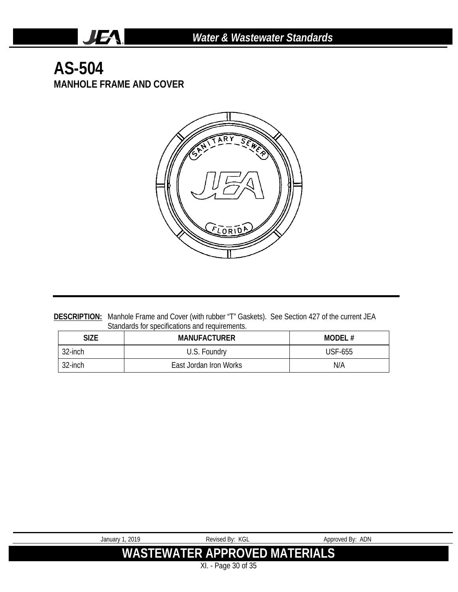#### **AS-504 MANHOLE FRAME AND COVER**

JEA.

I



**DESCRIPTION:** Manhole Frame and Cover (with rubber "T" Gaskets). See Section 427 of the current JEA Standards for specifications and requirements.

| Size    | <b>MANUFACTURER</b>    | MODEL#  |
|---------|------------------------|---------|
| 32-inch | U.S. Foundry           | USF-655 |
| 32-inch | East Jordan Iron Works | N/A     |

| January 1, 2019                      | Revised By: KGL | Approved By: ADN |  |
|--------------------------------------|-----------------|------------------|--|
|                                      |                 |                  |  |
| <b>WASTEWATER APPROVED MATERIALS</b> |                 |                  |  |
|                                      |                 |                  |  |
| XI. - Page 30 of 35                  |                 |                  |  |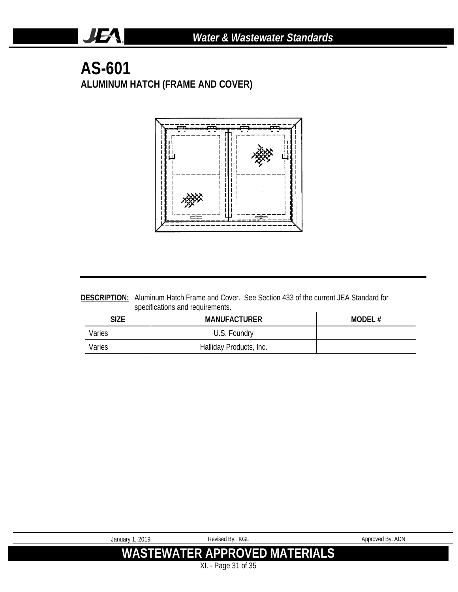#### **AS-601 ALUMINUM HATCH (FRAME AND COVER)**

**JEA** 



**DESCRIPTION:** Aluminum Hatch Frame and Cover. See Section 433 of the current JEA Standard for specifications and requirements.

| SIZE   | <b>MANUFACTURER</b>     | MODEL# |
|--------|-------------------------|--------|
| Varies | U.S. Foundry            |        |
| Varies | Halliday Products, Inc. |        |

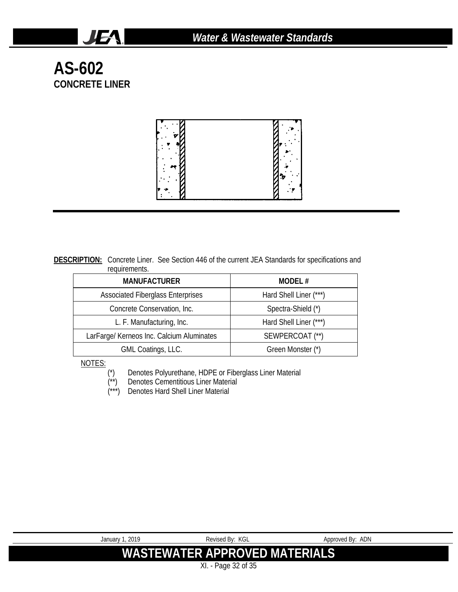**AS-602 CONCRETE LINER**

**JEA** 



**DESCRIPTION:** Concrete Liner. See Section 446 of the current JEA Standards for specifications and requirements.

| <b>MANUFACTURER</b>                       | MODEL#                 |  |
|-------------------------------------------|------------------------|--|
| <b>Associated Fiberglass Enterprises</b>  | Hard Shell Liner (***) |  |
| Concrete Conservation, Inc.               | Spectra-Shield (*)     |  |
| L. F. Manufacturing, Inc.                 | Hard Shell Liner (***) |  |
| LarFarge/ Kerneos Inc. Calcium Aluminates | SEWPERCOAT (**)        |  |
| GML Coatings, LLC.                        | Green Monster (*)      |  |

NOTES:

(\*) Denotes Polyurethane, HDPE or Fiberglass Liner Material

- (\*\*) Denotes Cementitious Liner Material (\*\*) Denotes Cementitious Liner Mater<br>(\*\*\*) Denotes Hard Shell Liner Material
- 

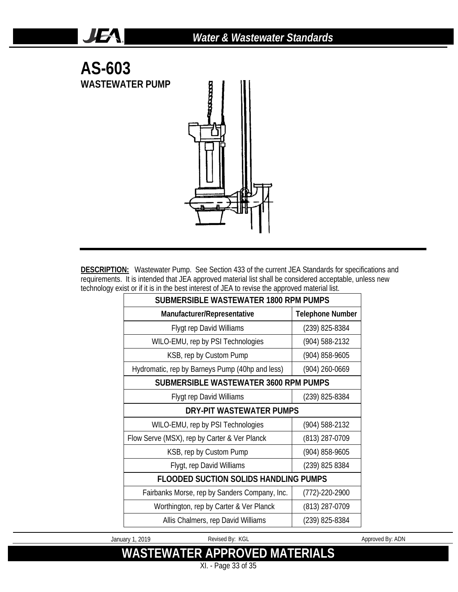

**JEA** 

**DESCRIPTION:** Wastewater Pump. See Section 433 of the current JEA Standards for specifications and requirements. It is intended that JEA approved material list shall be considered acceptable, unless new technology exist or if it is in the best interest of JEA to revise the approved material list.

| SUBMERSIBLE WASTEWATER 1800 RPM PUMPS               |                         |  |  |
|-----------------------------------------------------|-------------------------|--|--|
| Manufacturer/Representative                         | <b>Telephone Number</b> |  |  |
| <b>Flygt rep David Williams</b>                     | $(239)$ 825-8384        |  |  |
| WILO-EMU, rep by PSI Technologies                   | (904) 588-2132          |  |  |
| KSB, rep by Custom Pump                             | (904) 858-9605          |  |  |
| Hydromatic, rep by Barneys Pump (40hp and less)     | (904) 260-0669          |  |  |
| <b>SUBMERSIBLE WASTEWATER 3600 RPM PUMPS</b>        |                         |  |  |
| <b>Flygt rep David Williams</b>                     | (239) 825-8384          |  |  |
| DRY-PIT WASTEWATER PUMPS                            |                         |  |  |
| WILO-EMU, rep by PSI Technologies<br>(904) 588-2132 |                         |  |  |
| Flow Serve (MSX), rep by Carter & Ver Planck        | (813) 287-0709          |  |  |
| KSB, rep by Custom Pump                             | (904) 858-9605          |  |  |
| Flygt, rep David Williams                           | (239) 825 8384          |  |  |
| FLOODED SUCTION SOLIDS HANDLING PUMPS               |                         |  |  |
| Fairbanks Morse, rep by Sanders Company, Inc.       | $(772) - 220 - 2900$    |  |  |
| Worthington, rep by Carter & Ver Planck             | (813) 287-0709          |  |  |
| Allis Chalmers, rep David Williams                  | (239) 825-8384          |  |  |

January 1, 2019 **Revised By: KGL** Approved By: ADN

## **WASTEWATER APPROVED MATERIALS**

XI. - Page 33 of 35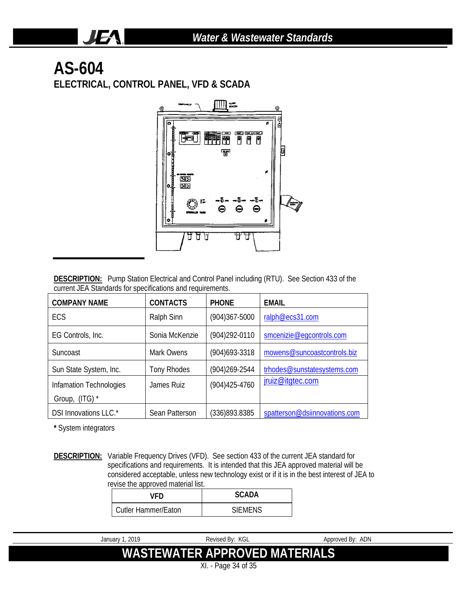# **AS-604**

JEA.

**ELECTRICAL, CONTROL PANEL, VFD & SCADA**



**DESCRIPTION:** Pump Station Electrical and Control Panel including (RTU). See Section 433 of the current JEA Standards for specifications and requirements.

| <b>COMPANY NAME</b>                          | <b>CONTACTS</b><br><b>PHONE</b> |                   | <b>EMAIL</b>                  |  |
|----------------------------------------------|---------------------------------|-------------------|-------------------------------|--|
| ECS                                          | Ralph Sinn                      | $(904)367 - 5000$ | ralph@ecs31.com               |  |
| EG Controls, Inc.                            | Sonia McKenzie                  | (904) 292-0110    | smcenizie@eqcontrols.com      |  |
| Suncoast                                     | Mark Owens                      | $(904)693 - 3318$ | mowens@suncoastcontrols.biz   |  |
| Sun State System, Inc.<br><b>Tony Rhodes</b> |                                 | $(904)269 - 2544$ | trhodes@sunstatesystems.com   |  |
| Infamation Technologies                      | James Ruiz                      | $(904)425 - 4760$ | jruiz@itgtec.com              |  |
| Group, (ITG) *                               |                                 |                   |                               |  |
| DSI Innovations LLC.*                        | Sean Patterson                  | (336)893.8385     | spatterson@dsiinnovations.com |  |

**\*** System integrators

**DESCRIPTION:** Variable Frequency Drives (VFD). See section 433 of the current JEA standard for specifications and requirements. It is intended that this JEA approved material will be considered acceptable, unless new technology exist or if it is in the best interest of JEA to revise the approved material list.

| VFD                        | SCADA          |  |
|----------------------------|----------------|--|
| <b>Cutler Hammer/Eaton</b> | <b>SIFMENS</b> |  |